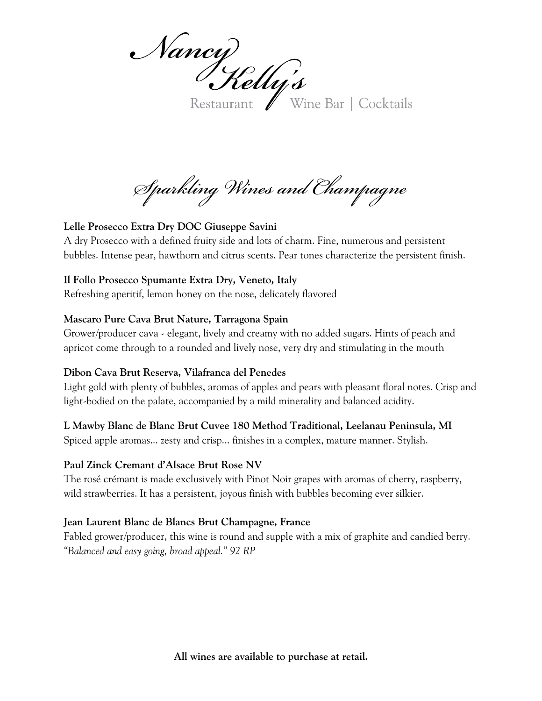Nancy Yelly's

Restaurant Wine Bar | Cocktails

*Sparkling Wines and Champagne*

#### **Lelle Prosecco Extra Dry DOC Giuseppe Savini**

A dry Prosecco with a defined fruity side and lots of charm. Fine, numerous and persistent bubbles. Intense pear, hawthorn and citrus scents. Pear tones characterize the persistent finish.

#### **Il Follo Prosecco Spumante Extra Dry, Veneto, Italy**

Refreshing aperitif, lemon honey on the nose, delicately flavored

#### **Mascaro Pure Cava Brut Nature, Tarragona Spain**

Grower/producer cava - elegant, lively and creamy with no added sugars. Hints of peach and apricot come through to a rounded and lively nose, very dry and stimulating in the mouth

#### **Dibon Cava Brut Reserva, Vilafranca del Penedes**

Light gold with plenty of bubbles, aromas of apples and pears with pleasant floral notes. Crisp and light-bodied on the palate, accompanied by a mild minerality and balanced acidity.

#### **L Mawby Blanc de Blanc Brut Cuvee 180 Method Traditional, Leelanau Peninsula, MI**

Spiced apple aromas... zesty and crisp... finishes in a complex, mature manner. Stylish.

#### **Paul Zinck Cremant d'Alsace Brut Rose NV**

The rosé crémant is made exclusively with Pinot Noir grapes with aromas of cherry, raspberry, wild strawberries. It has a persistent, joyous finish with bubbles becoming ever silkier.

#### **Jean Laurent Blanc de Blancs Brut Champagne, France**

Fabled grower/producer, this wine is round and supple with a mix of graphite and candied berry. *"Balanced and easy going, broad appeal." 92 RP*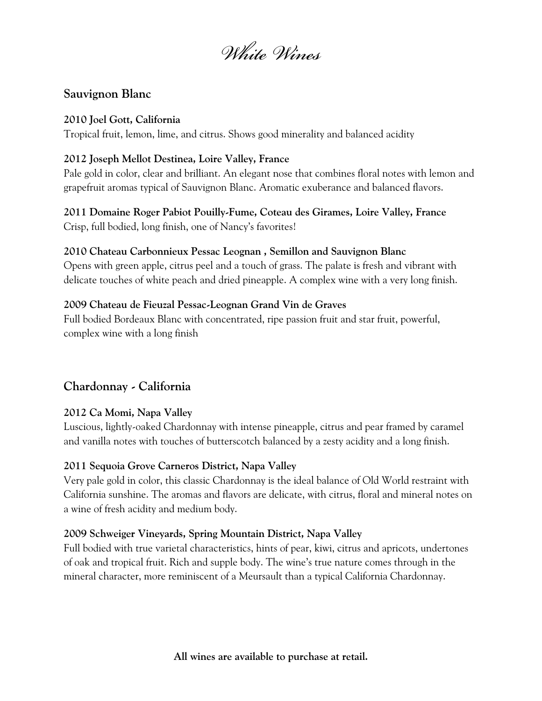*White Wines*

### **Sauvignon Blanc**

#### **2010 Joel Gott, California**

Tropical fruit, lemon, lime, and citrus. Shows good minerality and balanced acidity

#### **2012 Joseph Mellot Destinea, Loire Valley, France**

Pale gold in color, clear and brilliant. An elegant nose that combines floral notes with lemon and grapefruit aromas typical of Sauvignon Blanc. Aromatic exuberance and balanced flavors.

# **2011 Domaine Roger Pabiot Pouilly-Fume, Coteau des Girames, Loire Valley, France**

Crisp, full bodied, long finish, one of Nancy's favorites!

#### **2010 Chateau Carbonnieux Pessac Leognan , Semillon and Sauvignon Blanc**

Opens with green apple, citrus peel and a touch of grass. The palate is fresh and vibrant with delicate touches of white peach and dried pineapple. A complex wine with a very long finish.

#### **2009 Chateau de Fieuzal Pessac-Leognan Grand Vin de Graves**

Full bodied Bordeaux Blanc with concentrated, ripe passion fruit and star fruit, powerful, complex wine with a long finish

# **Chardonnay - California**

#### **2012 Ca Momi, Napa Valley**

Luscious, lightly-oaked Chardonnay with intense pineapple, citrus and pear framed by caramel and vanilla notes with touches of butterscotch balanced by a zesty acidity and a long finish.

#### **2011 Sequoia Grove Carneros District, Napa Valley**

Very pale gold in color, this classic Chardonnay is the ideal balance of Old World restraint with California sunshine. The aromas and flavors are delicate, with citrus, floral and mineral notes on a wine of fresh acidity and medium body.

#### **2009 Schweiger Vineyards, Spring Mountain District, Napa Valley**

Full bodied with true varietal characteristics, hints of pear, kiwi, citrus and apricots, undertones of oak and tropical fruit. Rich and supple body. The wine's true nature comes through in the mineral character, more reminiscent of a Meursault than a typical California Chardonnay.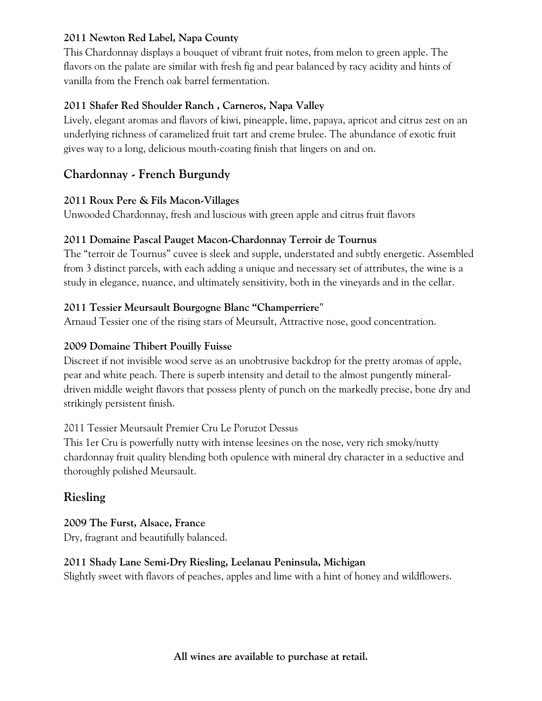#### **2011 Newton Red Label, Napa County**

This Chardonnay displays a bouquet of vibrant fruit notes, from melon to green apple. The flavors on the palate are similar with fresh fig and pear balanced by racy acidity and hints of vanilla from the French oak barrel fermentation.

### **2011 Shafer Red Shoulder Ranch , Carneros, Napa Valley**

Lively, elegant aromas and flavors of kiwi, pineapple, lime, papaya, apricot and citrus zest on an underlying richness of caramelized fruit tart and creme brulee. The abundance of exotic fruit gives way to a long, delicious mouth-coating finish that lingers on and on.

# **Chardonnay - French Burgundy**

## **2011 Roux Pere & Fils Macon-Villages**

Unwooded Chardonnay, fresh and luscious with green apple and citrus fruit flavors

## **2011 Domaine Pascal Pauget Macon-Chardonnay Terroir de Tournus**

The "terroir de Tournus" cuvee is sleek and supple, understated and subtly energetic. Assembled from 3 distinct parcels, with each adding a unique and necessary set of attributes, the wine is a study in elegance, nuance, and ultimately sensitivity, both in the vineyards and in the cellar.

## **2011 Tessier Meursault Bourgogne Blanc "Champerriere**"

Arnaud Tessier one of the rising stars of Meursult, Attractive nose, good concentration.

# **2009 Domaine Thibert Pouilly Fuisse**

Discreet if not invisible wood serve as an unobtrusive backdrop for the pretty aromas of apple, pear and white peach. There is superb intensity and detail to the almost pungently mineraldriven middle weight flavors that possess plenty of punch on the markedly precise, bone dry and strikingly persistent finish.

#### 2011 Tessier Meursault Premier Cru Le Poruzot Dessus

This 1er Cru is powerfully nutty with intense leesines on the nose, very rich smoky/nutty chardonnay fruit quality blending both opulence with mineral dry character in a seductive and thoroughly polished Meursault.

# **Riesling**

# **2009 The Furst, Alsace, France**

Dry, fragrant and beautifully balanced.

# **2011 Shady Lane Semi-Dry Riesling, Leelanau Peninsula, Michigan**

Slightly sweet with flavors of peaches, apples and lime with a hint of honey and wildflowers.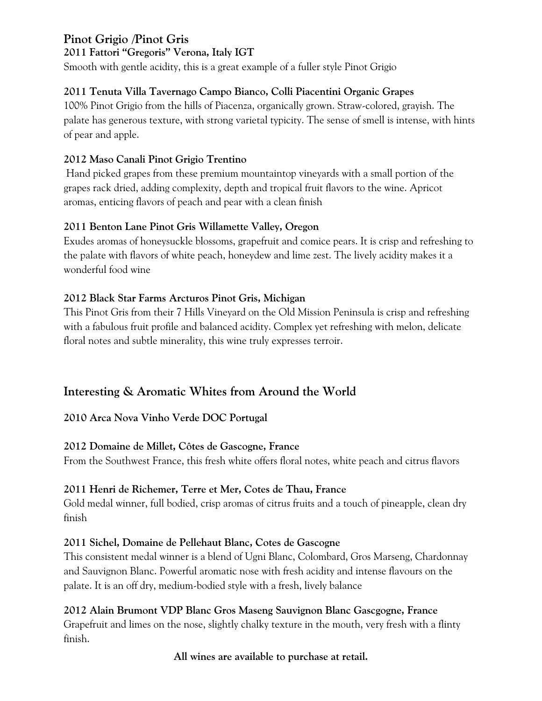# **Pinot Grigio /Pinot Gris**

**2011 Fattori "Gregoris" Verona, Italy IGT**

Smooth with gentle acidity, this is a great example of a fuller style Pinot Grigio

# **2011 Tenuta Villa Tavernago Campo Bianco, Colli Piacentini Organic Grapes**

100% Pinot Grigio from the hills of Piacenza, organically grown. Straw-colored, grayish. The palate has generous texture, with strong varietal typicity. The sense of smell is intense, with hints of pear and apple.

## **2012 Maso Canali Pinot Grigio Trentino**

Hand picked grapes from these premium mountaintop vineyards with a small portion of the grapes rack dried, adding complexity, depth and tropical fruit flavors to the wine. Apricot aromas, enticing flavors of peach and pear with a clean finish

## **2011 Benton Lane Pinot Gris Willamette Valley, Oregon**

Exudes aromas of honeysuckle blossoms, grapefruit and comice pears. It is crisp and refreshing to the palate with flavors of white peach, honeydew and lime zest. The lively acidity makes it a wonderful food wine

## **2012 Black Star Farms Arcturos Pinot Gris, Michigan**

This Pinot Gris from their 7 Hills Vineyard on the Old Mission Peninsula is crisp and refreshing with a fabulous fruit profile and balanced acidity. Complex yet refreshing with melon, delicate floral notes and subtle minerality, this wine truly expresses terroir.

# **Interesting & Aromatic Whites from Around the World**

# **2010 Arca Nova Vinho Verde DOC Portugal**

#### **2012 Domaine de Millet, Côtes de Gascogne, France**

From the Southwest France, this fresh white offers floral notes, white peach and citrus flavors

#### **2011 Henri de Richemer, Terre et Mer, Cotes de Thau, France**

Gold medal winner, full bodied, crisp aromas of citrus fruits and a touch of pineapple, clean dry finish

#### **2011 Sichel, Domaine de Pellehaut Blanc, Cotes de Gascogne**

This consistent medal winner is a blend of Ugni Blanc, Colombard, Gros Marseng, Chardonnay and Sauvignon Blanc. Powerful aromatic nose with fresh acidity and intense flavours on the palate. It is an off dry, medium-bodied style with a fresh, lively balance

# **2012 Alain Brumont VDP Blanc Gros Maseng Sauvignon Blanc Gascgogne, France**

Grapefruit and limes on the nose, slightly chalky texture in the mouth, very fresh with a flinty finish.

**All wines are available to purchase at retail.**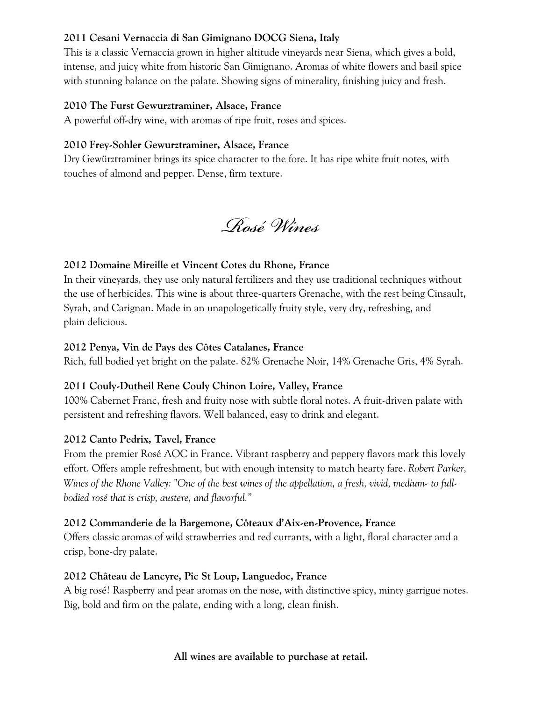#### **2011 Cesani Vernaccia di San Gimignano DOCG Siena, Italy**

This is a classic Vernaccia grown in higher altitude vineyards near Siena, which gives a bold, intense, and juicy white from historic San Gimignano. Aromas of white flowers and basil spice with stunning balance on the palate. Showing signs of minerality, finishing juicy and fresh.

#### **2010 The Furst Gewurztraminer, Alsace, France**

A powerful off-dry wine, with aromas of ripe fruit, roses and spices.

#### **2010 Frey-Sohler Gewurztraminer, Alsace, France**

Dry Gewürztraminer brings its spice character to the fore. It has ripe white fruit notes, with touches of almond and pepper. Dense, firm texture.

*Rosé Wines*

#### **2012 Domaine Mireille et Vincent Cotes du Rhone, France**

In their vineyards, they use only natural fertilizers and they use traditional techniques without the use of herbicides. This wine is about three-quarters Grenache, with the rest being Cinsault, Syrah, and Carignan. Made in an unapologetically fruity style, very dry, refreshing, and plain delicious.

#### **2012 Penya, Vin de Pays des Côtes Catalanes, France**

Rich, full bodied yet bright on the palate. 82% Grenache Noir, 14% Grenache Gris, 4% Syrah.

#### **2011 Couly-Dutheil Rene Couly Chinon Loire, Valley, France**

100% Cabernet Franc, fresh and fruity nose with subtle floral notes. A fruit-driven palate with persistent and refreshing flavors. Well balanced, easy to drink and elegant.

#### **2012 Canto Pedrix, Tavel, France**

From the premier Rosé AOC in France. Vibrant raspberry and peppery flavors mark this lovely effort. Offers ample refreshment, but with enough intensity to match hearty fare. *Robert Parker, Wines of the Rhone Valley: "One of the best wines of the appellation, a fresh, vivid, medium- to fullbodied rosé that is crisp, austere, and flavorful."*

#### **2012 Commanderie de la Bargemone, Côteaux d'Aix-en-Provence, France**

Offers classic aromas of wild strawberries and red currants, with a light, floral character and a crisp, bone-dry palate.

#### **2012 Château de Lancyre, Pic St Loup, Languedoc, France**

A big rosé! Raspberry and pear aromas on the nose, with distinctive spicy, minty garrigue notes. Big, bold and firm on the palate, ending with a long, clean finish.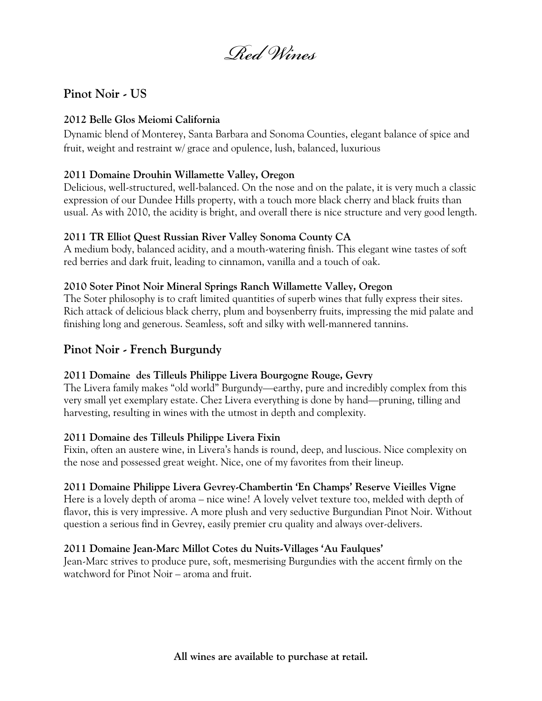*Red Wines*

# **Pinot Noir - US**

#### **2012 Belle Glos Meiomi California**

Dynamic blend of Monterey, Santa Barbara and Sonoma Counties, elegant balance of spice and fruit, weight and restraint w/ grace and opulence, lush, balanced, luxurious

#### **2011 Domaine Drouhin Willamette Valley, Oregon**

Delicious, well-structured, well-balanced. On the nose and on the palate, it is very much a classic expression of our Dundee Hills property, with a touch more black cherry and black fruits than usual. As with 2010, the acidity is bright, and overall there is nice structure and very good length.

#### **2011 TR Elliot Quest Russian River Valley Sonoma County CA**

A medium body, balanced acidity, and a mouth-watering finish. This elegant wine tastes of soft red berries and dark fruit, leading to cinnamon, vanilla and a touch of oak.

#### **2010 Soter Pinot Noir Mineral Springs Ranch Willamette Valley, Oregon**

The Soter philosophy is to craft limited quantities of superb wines that fully express their sites. Rich attack of delicious black cherry, plum and boysenberry fruits, impressing the mid palate and finishing long and generous. Seamless, soft and silky with well-mannered tannins.

# **Pinot Noir - French Burgundy**

#### **2011 Domaine des Tilleuls Philippe Livera Bourgogne Rouge, Gevry**

The Livera family makes "old world" Burgundy—earthy, pure and incredibly complex from this very small yet exemplary estate. Chez Livera everything is done by hand—pruning, tilling and harvesting, resulting in wines with the utmost in depth and complexity.

#### **2011 Domaine des Tilleuls Philippe Livera Fixin**

Fixin, often an austere wine, in Livera's hands is round, deep, and luscious. Nice complexity on the nose and possessed great weight. Nice, one of my favorites from their lineup.

#### **2011 Domaine Philippe Livera Gevrey-Chambertin 'En Champs' Reserve Vieilles Vigne**

Here is a lovely depth of aroma – nice wine! A lovely velvet texture too, melded with depth of flavor, this is very impressive. A more plush and very seductive Burgundian Pinot Noir. Without question a serious find in Gevrey, easily premier cru quality and always over-delivers.

#### **2011 Domaine Jean-Marc Millot Cotes du Nuits-Villages 'Au Faulques'**

Jean-Marc strives to produce pure, soft, mesmerising Burgundies with the accent firmly on the watchword for Pinot Noir – aroma and fruit.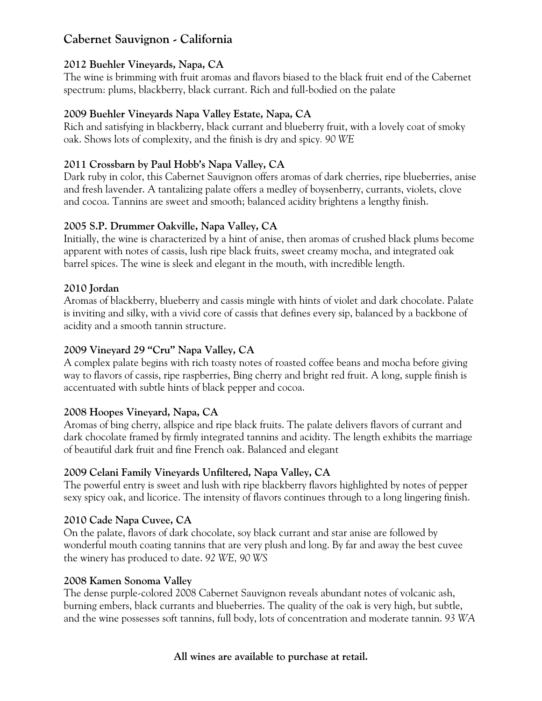# **Cabernet Sauvignon - California**

#### **2012 Buehler Vineyards, Napa, CA**

The wine is brimming with fruit aromas and flavors biased to the black fruit end of the Cabernet spectrum: plums, blackberry, black currant. Rich and full-bodied on the palate

#### **2009 Buehler Vineyards Napa Valley Estate, Napa, CA**

Rich and satisfying in blackberry, black currant and blueberry fruit, with a lovely coat of smoky oak. Shows lots of complexity, and the finish is dry and spicy*. 90 WE*

#### **2011 Crossbarn by Paul Hobb's Napa Valley, CA**

Dark ruby in color, this Cabernet Sauvignon offers aromas of dark cherries, ripe blueberries, anise and fresh lavender. A tantalizing palate offers a medley of boysenberry, currants, violets, clove and cocoa. Tannins are sweet and smooth; balanced acidity brightens a lengthy finish.

#### **2005 S.P. Drummer Oakville, Napa Valley, CA**

Initially, the wine is characterized by a hint of anise, then aromas of crushed black plums become apparent with notes of cassis, lush ripe black fruits, sweet creamy mocha, and integrated oak barrel spices. The wine is sleek and elegant in the mouth, with incredible length.

#### **2010 Jordan**

Aromas of blackberry, blueberry and cassis mingle with hints of violet and dark chocolate. Palate is inviting and silky, with a vivid core of cassis that defines every sip, balanced by a backbone of acidity and a smooth tannin structure.

#### **2009 Vineyard 29 "Cru" Napa Valley, CA**

A complex palate begins with rich toasty notes of roasted coffee beans and mocha before giving way to flavors of cassis, ripe raspberries, Bing cherry and bright red fruit. A long, supple finish is accentuated with subtle hints of black pepper and cocoa.

#### **2008 Hoopes Vineyard, Napa, CA**

Aromas of bing cherry, allspice and ripe black fruits. The palate delivers flavors of currant and dark chocolate framed by firmly integrated tannins and acidity. The length exhibits the marriage of beautiful dark fruit and fine French oak. Balanced and elegant

#### **2009 Celani Family Vineyards Unfiltered, Napa Valley, CA**

The powerful entry is sweet and lush with ripe blackberry flavors highlighted by notes of pepper sexy spicy oak, and licorice. The intensity of flavors continues through to a long lingering finish.

#### **2010 Cade Napa Cuvee, CA**

On the palate, flavors of dark chocolate, soy black currant and star anise are followed by wonderful mouth coating tannins that are very plush and long. By far and away the best cuvee the winery has produced to date. *92 WE, 90 WS*

#### **2008 Kamen Sonoma Valley**

The dense purple-colored 2008 Cabernet Sauvignon reveals abundant notes of volcanic ash, burning embers, black currants and blueberries. The quality of the oak is very high, but subtle, and the wine possesses soft tannins, full body, lots of concentration and moderate tannin. *93 WA*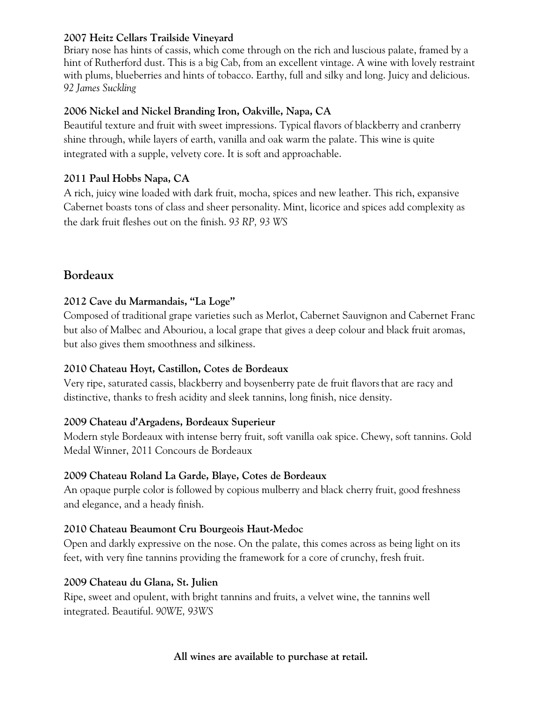#### **2007 Heitz Cellars Trailside Vineyard**

Briary nose has hints of cassis, which come through on the rich and luscious palate, framed by a hint of Rutherford dust. This is a big Cab, from an excellent vintage. A wine with lovely restraint with plums, blueberries and hints of tobacco. Earthy, full and silky and long. Juicy and delicious. *92 James Suckling*

## **2006 Nickel and Nickel Branding Iron, Oakville, Napa, CA**

Beautiful texture and fruit with sweet impressions. Typical flavors of blackberry and cranberry shine through, while layers of earth, vanilla and oak warm the palate. This wine is quite integrated with a supple, velvety core. It is soft and approachable.

### **2011 Paul Hobbs Napa, CA**

A rich, juicy wine loaded with dark fruit, mocha, spices and new leather. This rich, expansive Cabernet boasts tons of class and sheer personality. Mint, licorice and spices add complexity as the dark fruit fleshes out on the finish. *93 RP, 93 WS*

# **Bordeaux**

## **2012 Cave du Marmandais, "La Loge"**

Composed of traditional grape varieties such as Merlot, Cabernet Sauvignon and Cabernet Franc but also of Malbec and Abouriou, a local grape that gives a deep colour and black fruit aromas, but also gives them smoothness and silkiness.

# **2010 Chateau Hoyt, Castillon, Cotes de Bordeaux**

Very ripe, saturated cassis, blackberry and boysenberry pate de fruit flavorsthat are racy and distinctive, thanks to fresh acidity and sleek tannins, long finish, nice density.

#### **2009 Chateau d'Argadens, Bordeaux Superieur**

Modern style Bordeaux with intense berry fruit, soft vanilla oak spice. Chewy, soft tannins. Gold Medal Winner, 2011 Concours de Bordeaux

#### **2009 Chateau Roland La Garde, Blaye, Cotes de Bordeaux**

An opaque purple color is followed by copious mulberry and black cherry fruit, good freshness and elegance, and a heady finish.

# **2010 Chateau Beaumont Cru Bourgeois Haut-Medoc**

Open and darkly expressive on the nose. On the palate, this comes across as being light on its feet, with very fine tannins providing the framework for a core of crunchy, fresh fruit.

#### **2009 Chateau du Glana, St. Julien**

Ripe, sweet and opulent, with bright tannins and fruits, a velvet wine, the tannins well integrated. Beautiful. *90WE, 93WS*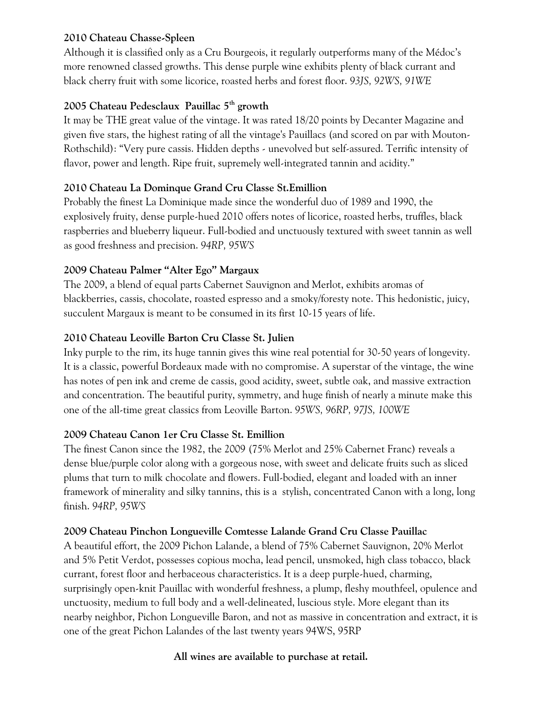#### **2010 Chateau Chasse-Spleen**

Although it is classified only as a Cru Bourgeois, it regularly outperforms many of the Médoc's more renowned classed growths. This dense purple wine exhibits plenty of black currant and black cherry fruit with some licorice, roasted herbs and forest floor. *93JS, 92WS, 91WE*

#### **2005 Chateau Pedesclaux Pauillac 5th growth**

It may be THE great value of the vintage. It was rated 18/20 points by Decanter Magazine and given five stars, the highest rating of all the vintage's Pauillacs (and scored on par with Mouton-Rothschild): "Very pure cassis. Hidden depths - unevolved but self-assured. Terrific intensity of flavor, power and length. Ripe fruit, supremely well-integrated tannin and acidity."

#### **2010 Chateau La Dominque Grand Cru Classe St.Emillion**

Probably the finest La Dominique made since the wonderful duo of 1989 and 1990, the explosively fruity, dense purple-hued 2010 offers notes of licorice, roasted herbs, truffles, black raspberries and blueberry liqueur. Full-bodied and unctuously textured with sweet tannin as well as good freshness and precision. *94RP, 95WS*

#### **2009 Chateau Palmer "Alter Ego" Margaux**

The 2009, a blend of equal parts Cabernet Sauvignon and Merlot, exhibits aromas of blackberries, cassis, chocolate, roasted espresso and a smoky/foresty note. This hedonistic, juicy, succulent Margaux is meant to be consumed in its first 10-15 years of life.

#### **2010 Chateau Leoville Barton Cru Classe St. Julien**

Inky purple to the rim, its huge tannin gives this wine real potential for 30-50 years of longevity. It is a classic, powerful Bordeaux made with no compromise. A superstar of the vintage, the wine has notes of pen ink and creme de cassis, good acidity, sweet, subtle oak, and massive extraction and concentration. The beautiful purity, symmetry, and huge finish of nearly a minute make this one of the all-time great classics from Leoville Barton. *95WS, 96RP, 97JS, 100WE*

#### **2009 Chateau Canon 1er Cru Classe St. Emillion**

The finest Canon since the 1982, the 2009 (75% Merlot and 25% Cabernet Franc) reveals a dense blue/purple color along with a gorgeous nose, with sweet and delicate fruits such as sliced plums that turn to milk chocolate and flowers. Full-bodied, elegant and loaded with an inner framework of minerality and silky tannins, this is a stylish, concentrated Canon with a long, long finish. *94RP, 95WS*

#### **2009 Chateau Pinchon Longueville Comtesse Lalande Grand Cru Classe Pauillac**

A beautiful effort, the 2009 Pichon Lalande, a blend of 75% Cabernet Sauvignon, 20% Merlot and 5% Petit Verdot, possesses copious mocha, lead pencil, unsmoked, high class tobacco, black currant, forest floor and herbaceous characteristics. It is a deep purple-hued, charming, surprisingly open-knit Pauillac with wonderful freshness, a plump, fleshy mouthfeel, opulence and unctuosity, medium to full body and a well-delineated, luscious style. More elegant than its nearby neighbor, Pichon Longueville Baron, and not as massive in concentration and extract, it is one of the great Pichon Lalandes of the last twenty years 94WS, 95RP

#### **All wines are available to purchase at retail.**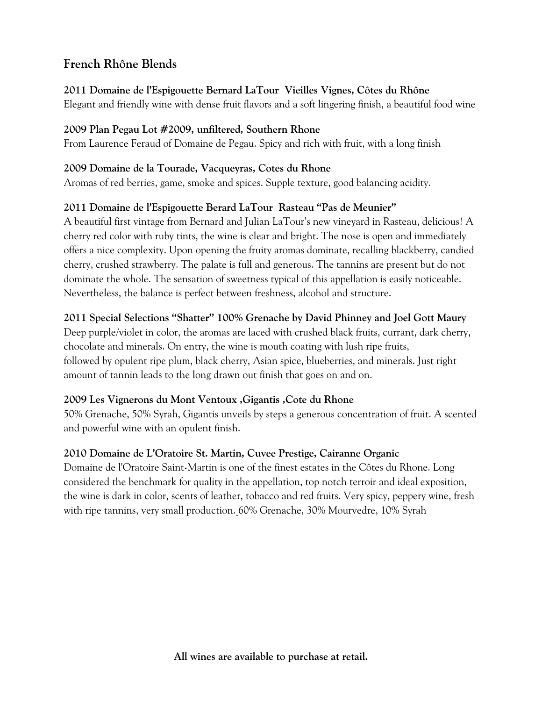# **French Rhône Blends**

#### **2011 Domaine de l'Espigouette Bernard LaTour Vieilles Vignes, Côtes du Rhône**

Elegant and friendly wine with dense fruit flavors and a soft lingering finish, a beautiful food wine

### **2009 Plan Pegau Lot #2009, unfiltered, Southern Rhone**

From Laurence Feraud of Domaine de Pegau. Spicy and rich with fruit, with a long finish

### **2009 Domaine de la Tourade, Vacqueyras, Cotes du Rhone**

Aromas of red berries, game, smoke and spices. Supple texture, good balancing acidity.

## **2011 Domaine de l'Espigouette Berard LaTour Rasteau "Pas de Meunier"**

A beautiful first vintage from Bernard and Julian LaTour's new vineyard in Rasteau, delicious! A cherry red color with ruby tints, the wine is clear and bright. The nose is open and immediately offers a nice complexity. Upon opening the fruity aromas dominate, recalling blackberry, candied cherry, crushed strawberry. The palate is full and generous. The tannins are present but do not dominate the whole. The sensation of sweetness typical of this appellation is easily noticeable. Nevertheless, the balance is perfect between freshness, alcohol and structure.

## **2011 Special Selections "Shatter" 100% Grenache by David Phinney and Joel Gott Maury**

Deep purple/violet in color, the aromas are laced with crushed black fruits, currant, dark cherry, chocolate and minerals. On entry, the wine is mouth coating with lush ripe fruits, followed by opulent ripe plum, black cherry, Asian spice, blueberries, and minerals. Just right amount of tannin leads to the long drawn out finish that goes on and on.

# **2009 Les Vignerons du Mont Ventoux ,Gigantis ,Cote du Rhone**

50% Grenache, 50% Syrah, Gigantis unveils by steps a generous concentration of fruit. A scented and powerful wine with an opulent finish.

# **2010 Domaine de L'Oratoire St. Martin, Cuvee Prestige, Cairanne Organic**

Domaine de l'Oratoire Saint-Martin is one of the finest estates in the Côtes du Rhone. Long considered the benchmark for quality in the appellation, top notch terroir and ideal exposition, the wine is dark in color, scents of leather, tobacco and red fruits. Very spicy, peppery wine, fresh with ripe tannins, very small production. 60% Grenache, 30% Mourvedre, 10% Syrah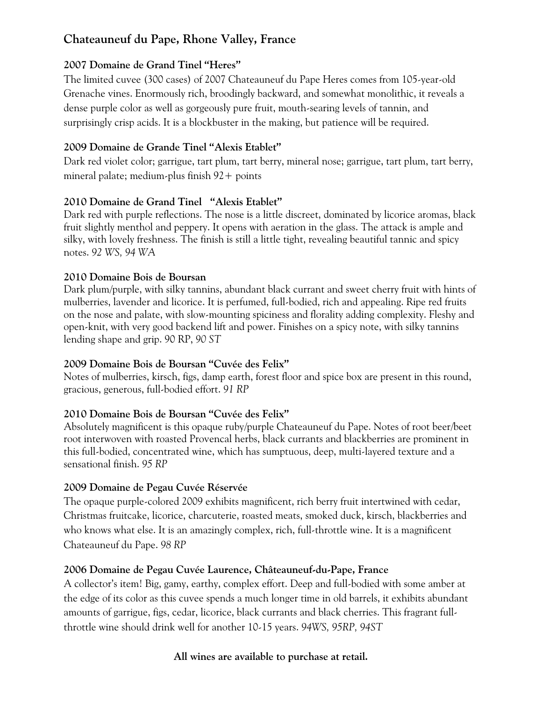# **Chateauneuf du Pape, Rhone Valley, France**

### **2007 Domaine de Grand Tinel "Heres"**

The limited cuvee (300 cases) of 2007 Chateauneuf du Pape Heres comes from 105-year-old Grenache vines. Enormously rich, broodingly backward, and somewhat monolithic, it reveals a dense purple color as well as gorgeously pure fruit, mouth-searing levels of tannin, and surprisingly crisp acids. It is a blockbuster in the making, but patience will be required.

### **2009 Domaine de Grande Tinel "Alexis Etablet"**

Dark red violet color; garrigue, tart plum, tart berry, mineral nose; garrigue, tart plum, tart berry, mineral palate; medium-plus finish  $92+$  points

## **2010 Domaine de Grand Tinel "Alexis Etablet"**

Dark red with purple reflections. The nose is a little discreet, dominated by licorice aromas, black fruit slightly menthol and peppery. It opens with aeration in the glass. The attack is ample and silky, with lovely freshness. The finish is still a little tight, revealing beautiful tannic and spicy notes. *92 WS, 94 WA*

#### **2010 Domaine Bois de Boursan**

Dark plum/purple, with silky tannins, abundant black currant and sweet cherry fruit with hints of mulberries, lavender and licorice. It is perfumed, full-bodied, rich and appealing. Ripe red fruits on the nose and palate, with slow-mounting spiciness and florality adding complexity. Fleshy and open-knit, with very good backend lift and power. Finishes on a spicy note, with silky tannins lending shape and grip. 90 RP, *90 ST*

#### **2009 Domaine Bois de Boursan "Cuvée des Felix"**

Notes of mulberries, kirsch, figs, damp earth, forest floor and spice box are present in this round, gracious, generous, full-bodied effort. *91 RP*

# **2010 Domaine Bois de Boursan "Cuvée des Felix"**

Absolutely magnificent is this opaque ruby/purple Chateauneuf du Pape. Notes of root beer/beet root interwoven with roasted Provencal herbs, black currants and blackberries are prominent in this full-bodied, concentrated wine, which has sumptuous, deep, multi-layered texture and a sensational finish. *95 RP*

#### **2009 Domaine de Pegau Cuvée Réservée**

The opaque purple-colored 2009 exhibits magnificent, rich berry fruit intertwined with cedar, Christmas fruitcake, licorice, charcuterie, roasted meats, smoked duck, kirsch, blackberries and who knows what else. It is an amazingly complex, rich, full-throttle wine. It is a magnificent Chateauneuf du Pape. *98 RP*

# **2006 Domaine de Pegau Cuvée Laurence, Châteauneuf-du-Pape, France**

A collector's item! Big, gamy, earthy, complex effort. Deep and full-bodied with some amber at the edge of its color as this cuvee spends a much longer time in old barrels, it exhibits abundant amounts of garrigue, figs, cedar, licorice, black currants and black cherries. This fragrant fullthrottle wine should drink well for another 10-15 years. *94WS, 95RP, 94ST*

#### **All wines are available to purchase at retail.**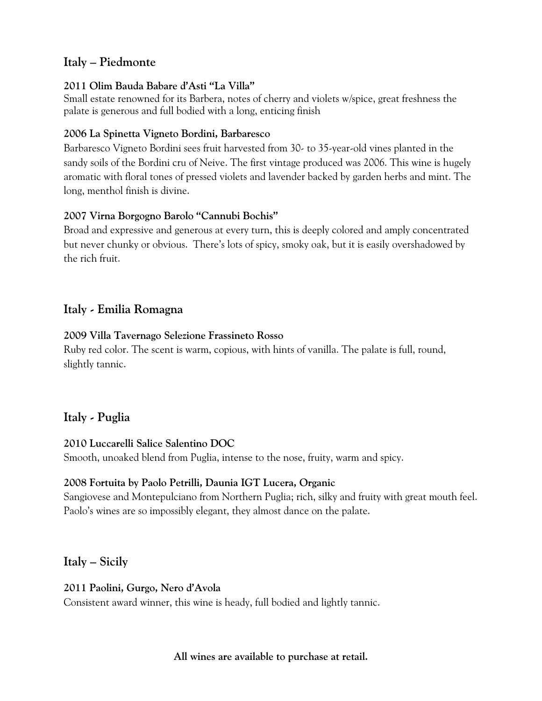# **Italy – Piedmonte**

#### **2011 Olim Bauda Babare d'Asti "La Villa"**

Small estate renowned for its Barbera, notes of cherry and violets w/spice, great freshness the palate is generous and full bodied with a long, enticing finish

#### **2006 La Spinetta Vigneto Bordini, Barbaresco**

Barbaresco Vigneto Bordini sees fruit harvested from 30- to 35-year-old vines planted in the sandy soils of the Bordini cru of Neive. The first vintage produced was 2006. This wine is hugely aromatic with floral tones of pressed violets and lavender backed by garden herbs and mint. The long, menthol finish is divine.

#### **2007 Virna Borgogno Barolo "Cannubi Bochis"**

Broad and expressive and generous at every turn, this is deeply colored and amply concentrated but never chunky or obvious. There's lots of spicy, smoky oak, but it is easily overshadowed by the rich fruit.

# **Italy - Emilia Romagna**

#### **2009 Villa Tavernago Selezione Frassineto Rosso**

Ruby red color. The scent is warm, copious, with hints of vanilla. The palate is full, round, slightly tannic.

# **Italy - Puglia**

#### **2010 Luccarelli Salice Salentino DOC**

Smooth, unoaked blend from Puglia, intense to the nose, fruity, warm and spicy.

#### **2008 Fortuita by Paolo Petrilli, Daunia IGT Lucera, Organic**

Sangiovese and Montepulciano from Northern Puglia; rich, silky and fruity with great mouth feel. Paolo's wines are so impossibly elegant, they almost dance on the palate.

# **Italy – Sicily**

**2011 Paolini, Gurgo, Nero d'Avola** Consistent award winner, this wine is heady, full bodied and lightly tannic.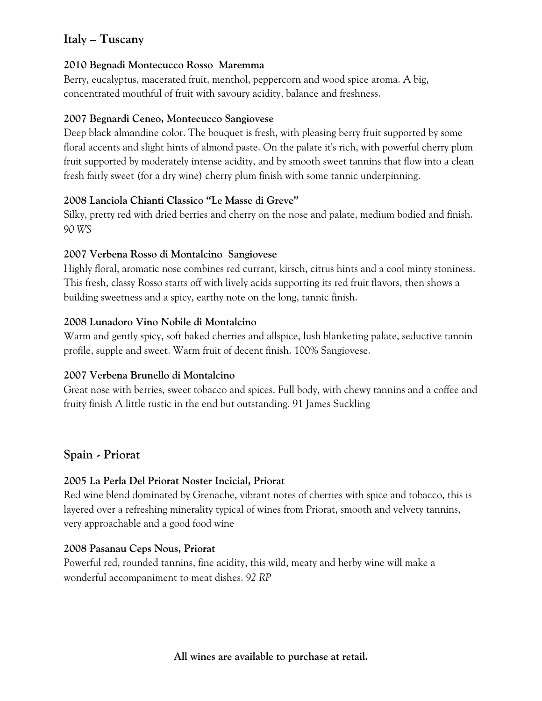# **Italy – Tuscany**

#### **2010 Begnadi Montecucco Rosso Maremma**

Berry, eucalyptus, macerated fruit, menthol, peppercorn and wood spice aroma. A big, concentrated mouthful of fruit with savoury acidity, balance and freshness.

#### **2007 Begnardi Ceneo, Montecucco Sangiovese**

Deep black almandine color. The bouquet is fresh, with pleasing berry fruit supported by some floral accents and slight hints of almond paste. On the palate it's rich, with powerful cherry plum fruit supported by moderately intense acidity, and by smooth sweet tannins that flow into a clean fresh fairly sweet (for a dry wine) cherry plum finish with some tannic underpinning.

#### **2008 Lanciola Chianti Classico "Le Masse di Greve"**

Silky, pretty red with dried berries and cherry on the nose and palate, medium bodied and finish. *90 WS*

#### **2007 Verbena Rosso di Montalcino Sangiovese**

Highly floral, aromatic nose combines red currant, kirsch, citrus hints and a cool minty stoniness. This fresh, classy Rosso starts off with lively acids supporting its red fruit flavors, then shows a building sweetness and a spicy, earthy note on the long, tannic finish.

#### **2008 Lunadoro Vino Nobile di Montalcino**

Warm and gently spicy, soft baked cherries and allspice, lush blanketing palate, seductive tannin profile, supple and sweet. Warm fruit of decent finish. 100% Sangiovese.

#### **2007 Verbena Brunello di Montalcino**

Great nose with berries, sweet tobacco and spices. Full body, with chewy tannins and a coffee and fruity finish A little rustic in the end but outstanding. 91 James Suckling

# **Spain - Priorat**

#### **2005 La Perla Del Priorat Noster Incicial, Priorat**

Red wine blend dominated by Grenache, vibrant notes of cherries with spice and tobacco, this is layered over a refreshing minerality typical of wines from Priorat, smooth and velvety tannins, very approachable and a good food wine

#### **2008 Pasanau Ceps Nous, Priorat**

Powerful red, rounded tannins, fine acidity, this wild, meaty and herby wine will make a wonderful accompaniment to meat dishes. *92 RP*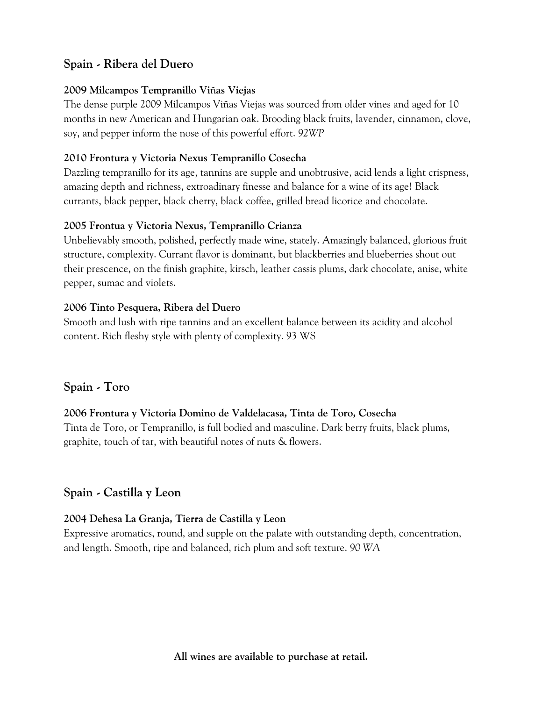# **Spain - Ribera del Duero**

#### **2009 Milcampos Tempranillo Vi**ñ**as Viejas**

The dense purple 2009 Milcampos Viñas Viejas was sourced from older vines and aged for 10 months in new American and Hungarian oak. Brooding black fruits, lavender, cinnamon, clove, soy, and pepper inform the nose of this powerful effort. *92WP*

#### **2010 Frontura y Victoria Nexus Tempranillo Cosecha**

Dazzling tempranillo for its age, tannins are supple and unobtrusive, acid lends a light crispness, amazing depth and richness, extroadinary finesse and balance for a wine of its age! Black currants, black pepper, black cherry, black coffee, grilled bread licorice and chocolate.

#### **2005 Frontua y Victoria Nexus, Tempranillo Crianza**

Unbelievably smooth, polished, perfectly made wine, stately. Amazingly balanced, glorious fruit structure, complexity. Currant flavor is dominant, but blackberries and blueberries shout out their prescence, on the finish graphite, kirsch, leather cassis plums, dark chocolate, anise, white pepper, sumac and violets.

#### **2006 Tinto Pesquera, Ribera del Duero**

Smooth and lush with ripe tannins and an excellent balance between its acidity and alcohol content. Rich fleshy style with plenty of complexity. 93 WS

#### **Spain - Toro**

#### **2006 Frontura y Victoria Domino de Valdelacasa, Tinta de Toro, Cosecha**

Tinta de Toro, or Tempranillo, is full bodied and masculine. Dark berry fruits, black plums, graphite, touch of tar, with beautiful notes of nuts & flowers.

# **Spain - Castilla y Leon**

#### **2004 Dehesa La Granja, Tierra de Castilla y Leon**

Expressive aromatics, round, and supple on the palate with outstanding depth, concentration, and length. Smooth, ripe and balanced, rich plum and soft texture. *90 WA*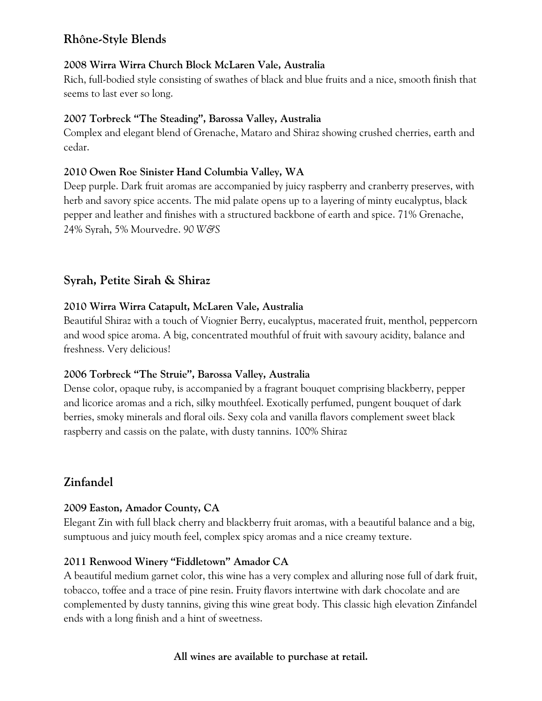# **Rhône-Style Blends**

#### **2008 Wirra Wirra Church Block McLaren Vale, Australia**

Rich, full-bodied style consisting of swathes of black and blue fruits and a nice, smooth finish that seems to last ever so long.

#### **2007 Torbreck "The Steading", Barossa Valley, Australia**

Complex and elegant blend of Grenache, Mataro and Shiraz showing crushed cherries, earth and cedar.

### **2010 Owen Roe Sinister Hand Columbia Valley, WA**

Deep purple. Dark fruit aromas are accompanied by juicy raspberry and cranberry preserves, with herb and savory spice accents. The mid palate opens up to a layering of minty eucalyptus, black pepper and leather and finishes with a structured backbone of earth and spice. 71% Grenache, 24% Syrah, 5% Mourvedre. *90 W&S*

# **Syrah, Petite Sirah & Shiraz**

## **2010 Wirra Wirra Catapult, McLaren Vale, Australia**

Beautiful Shiraz with a touch of Viognier Berry, eucalyptus, macerated fruit, menthol, peppercorn and wood spice aroma. A big, concentrated mouthful of fruit with savoury acidity, balance and freshness. Very delicious!

#### **2006 Torbreck "The Struie", Barossa Valley, Australia**

Dense color, opaque ruby, is accompanied by a fragrant bouquet comprising blackberry, pepper and licorice aromas and a rich, silky mouthfeel. Exotically perfumed, pungent bouquet of dark berries, smoky minerals and floral oils. Sexy cola and vanilla flavors complement sweet black raspberry and cassis on the palate, with dusty tannins. 100% Shiraz

# **Zinfandel**

#### **2009 Easton, Amador County, CA**

Elegant Zin with full black cherry and blackberry fruit aromas, with a beautiful balance and a big, sumptuous and juicy mouth feel, complex spicy aromas and a nice creamy texture.

#### **2011 Renwood Winery "Fiddletown" Amador CA**

A beautiful medium garnet color, this wine has a very complex and alluring nose full of dark fruit, tobacco, toffee and a trace of pine resin. Fruity flavors intertwine with dark chocolate and are complemented by dusty tannins, giving this wine great body. This classic high elevation Zinfandel ends with a long finish and a hint of sweetness.